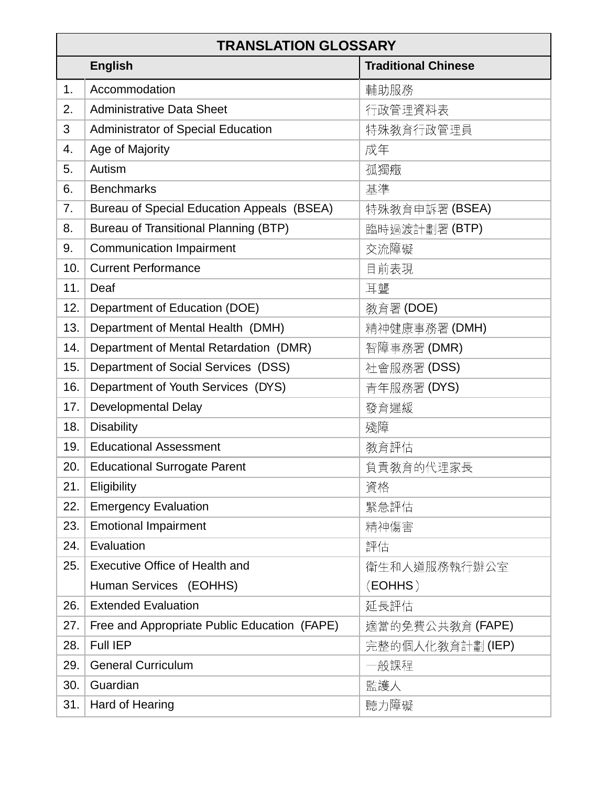| <b>TRANSLATION GLOSSARY</b> |                                              |                            |  |
|-----------------------------|----------------------------------------------|----------------------------|--|
|                             | <b>English</b>                               | <b>Traditional Chinese</b> |  |
| 1.                          | Accommodation                                | 輔助服務                       |  |
| 2.                          | <b>Administrative Data Sheet</b>             | 行政管理資料表                    |  |
| 3                           | Administrator of Special Education           | 特殊教育行政管理員                  |  |
| 4.                          | Age of Majority                              | 成年                         |  |
| 5.                          | Autism                                       | 孤獨癥                        |  |
| 6.                          | <b>Benchmarks</b>                            | 基準                         |  |
| 7.                          | Bureau of Special Education Appeals (BSEA)   | 特殊教育申訴署(BSEA)              |  |
| 8.                          | Bureau of Transitional Planning (BTP)        | 臨時過渡計劃署 (BTP)              |  |
| 9.                          | <b>Communication Impairment</b>              | 交流障礙                       |  |
| 10.                         | <b>Current Performance</b>                   | 目前表現                       |  |
| 11.                         | Deaf                                         | 耳聾                         |  |
| 12.                         | Department of Education (DOE)                | 教育署 (DOE)                  |  |
| 13.                         | Department of Mental Health (DMH)            | 精神健康事務署 (DMH)              |  |
| 14.                         | Department of Mental Retardation (DMR)       | 智障事務署 (DMR)                |  |
| 15.                         | Department of Social Services (DSS)          | 社會服務署(DSS)                 |  |
| 16.                         | Department of Youth Services (DYS)           | 青年服務署 (DYS)                |  |
| 17.                         | <b>Developmental Delay</b>                   | 發育遲緩                       |  |
| 18.                         | <b>Disability</b>                            | 殘障                         |  |
| 19.                         | <b>Educational Assessment</b>                | 教育評估                       |  |
| 20.                         | <b>Educational Surrogate Parent</b>          | 負責敎育的代理家長                  |  |
| 21.                         | Eligibility                                  | 資格                         |  |
| 22.                         | <b>Emergency Evaluation</b>                  | 緊急評估                       |  |
| 23.                         | <b>Emotional Impairment</b>                  | 精神傷害                       |  |
| 24.                         | Evaluation                                   | 評估                         |  |
| 25.                         | <b>Executive Office of Health and</b>        | 衛生和人道服務執行辦公室               |  |
|                             | Human Services (EOHHS)                       | (EOHHS)                    |  |
| 26.                         | <b>Extended Evaluation</b>                   | 延長評估                       |  |
| 27.                         | Free and Appropriate Public Education (FAPE) | 適當的免費公共敎育 (FAPE)           |  |
| 28.                         | <b>Full IEP</b>                              | 完整的個人化敎育計劃 (IEP)           |  |
| 29.                         | <b>General Curriculum</b>                    | -般課程                       |  |
| 30.                         | Guardian                                     | 監護人                        |  |
| 31.                         | Hard of Hearing                              | 聽力障礙                       |  |
|                             |                                              |                            |  |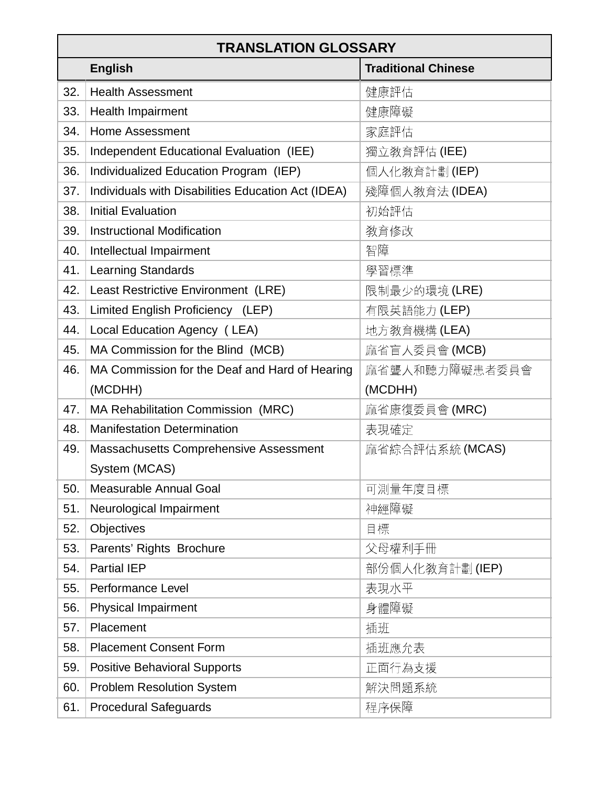| <b>TRANSLATION GLOSSARY</b> |                                                    |                            |  |
|-----------------------------|----------------------------------------------------|----------------------------|--|
|                             | <b>English</b>                                     | <b>Traditional Chinese</b> |  |
| 32.                         | <b>Health Assessment</b>                           | 健康評估                       |  |
| 33.                         | <b>Health Impairment</b>                           | 健康障礙                       |  |
| 34.                         | <b>Home Assessment</b>                             | 家庭評估                       |  |
| 35.                         | Independent Educational Evaluation (IEE)           | 獨立敎育評估 (IEE)               |  |
| 36.                         | Individualized Education Program (IEP)             | 個人化敎育計劃(IEP)               |  |
| 37.                         | Individuals with Disabilities Education Act (IDEA) | 殘障個人敎育法 (IDEA)             |  |
| 38.                         | <b>Initial Evaluation</b>                          | 初始評估                       |  |
| 39.                         | <b>Instructional Modification</b>                  | 教育修改                       |  |
| 40.                         | Intellectual Impairment                            | 智障                         |  |
| 41.                         | <b>Learning Standards</b>                          | 學習標準                       |  |
| 42.                         | Least Restrictive Environment (LRE)                | 限制最少的環境(LRE)               |  |
| 43.                         | Limited English Proficiency (LEP)                  | 有限英語能力 (LEP)               |  |
| 44.                         | Local Education Agency (LEA)                       | 地方教育機構 (LEA)               |  |
| 45.                         | MA Commission for the Blind (MCB)                  | 麻省盲人委員會(MCB)               |  |
| 46.                         | MA Commission for the Deaf and Hard of Hearing     | 麻省聾人和聽力障礙患者委員會             |  |
|                             | (MCDHH)                                            | (MCDHH)                    |  |
| 47.                         | MA Rehabilitation Commission (MRC)                 | 麻省康復委員會 (MRC)              |  |
| 48.                         | <b>Manifestation Determination</b>                 | 表現確定                       |  |
| 49.                         | Massachusetts Comprehensive Assessment             | 麻省綜合評估系統 (MCAS)            |  |
|                             | System (MCAS)                                      |                            |  |
| 50.                         | <b>Measurable Annual Goal</b>                      | 可測量年度目標                    |  |
| 51.                         | Neurological Impairment                            | 神經障礙                       |  |
| 52.                         | Objectives                                         | 目標                         |  |
| 53.                         | Parents' Rights Brochure                           | 父母權利手冊                     |  |
| 54.                         | <b>Partial IEP</b>                                 | 部份個人化敎育計劃(IEP)             |  |
| 55.                         | <b>Performance Level</b>                           | 表現水平                       |  |
| 56.                         | <b>Physical Impairment</b>                         | 身體障礙                       |  |
| 57.                         | Placement                                          | 插班                         |  |
| 58.                         | <b>Placement Consent Form</b>                      | 插班應允表                      |  |
| 59.                         | <b>Positive Behavioral Supports</b>                | 正面行為支援                     |  |
| 60.                         | <b>Problem Resolution System</b>                   | 解決問題系統                     |  |
| 61.                         | <b>Procedural Safeguards</b>                       | 程序保障                       |  |